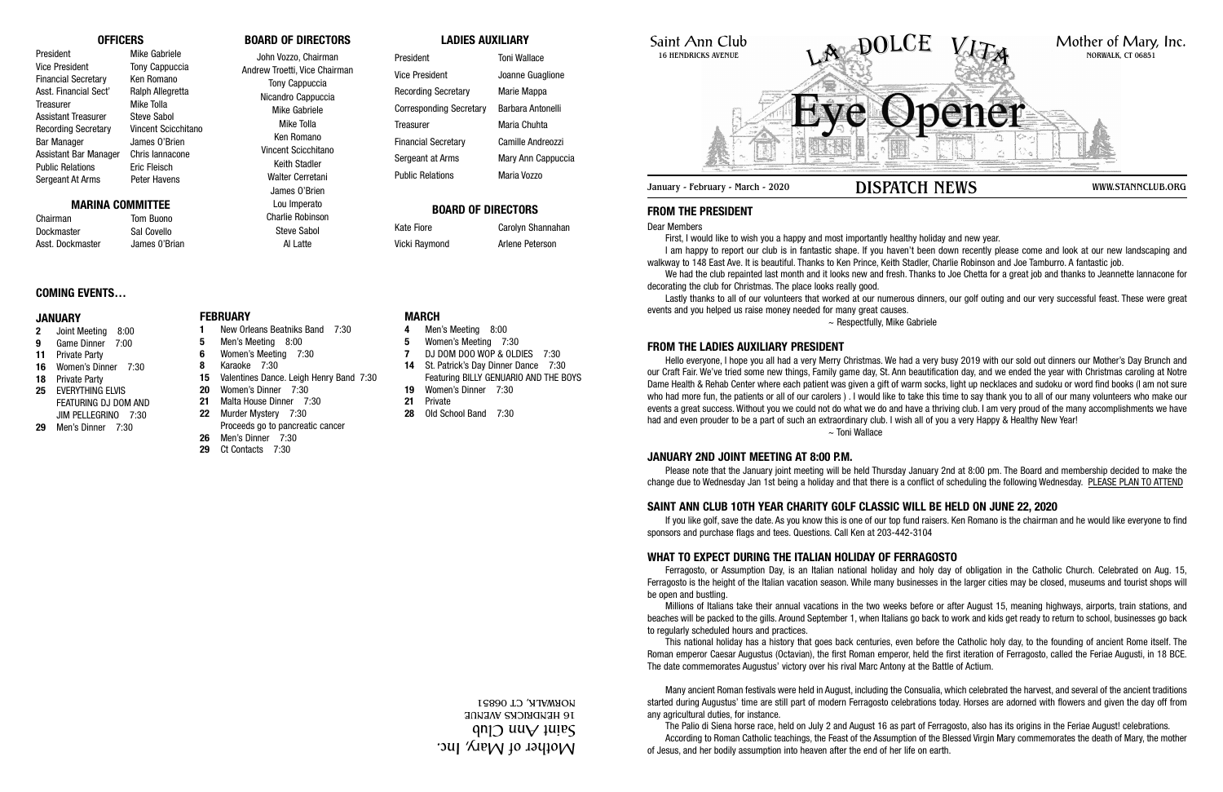# Saint Ann Club 16 HENDRICKS AVENUE

# **FROM THE PRESIDENT**

Dear Members

First, I would like to wish you a happy and most importantly healthy holiday and new year. I am happy to report our club is in fantastic shape. If you haven't been down recently please come and look at our new landscaping and walkway to 148 East Ave. It is beautiful. Thanks to Ken Prince, Keith Stadler, Charlie Robinson and Joe Tamburro. A fantastic job. We had the club repainted last month and it looks new and fresh. Thanks to Joe Chetta for a great job and thanks to Jeannette lannacone for decorating the club for Christmas. The place looks really good.

Lastly thanks to all of our volunteers that worked at our numerous dinners, our golf outing and our very successful feast. These were great events and you helped us raise money needed for many great causes.  $\sim$  Respectfully, Mike Gabriele

# **FROM THE LADIES AUXILIARY PRESIDENT**

Hello everyone, I hope you all had a very Merry Christmas. We had a very busy 2019 with our sold out dinners our Mother's Day Brunch and our Craft Fair. We've tried some new things, Family game day, St. Ann beautification day, and we ended the year with Christmas caroling at Notre Dame Health & Rehab Center where each patient was given a gift of warm socks, light up necklaces and sudoku or word find books (I am not sure who had more fun, the patients or all of our carolers ) . I would like to take this time to say thank you to all of our many volunteers who make our events a great success. Without you we could not do what we do and have a thriving club. I am very proud of the many accomplishments we have had and even prouder to be a part of such an extraordinary club. I wish all of you a very Happy & Healthy New Year! ~ Toni Wallace

## **JANUARY 2ND JOINT MEETING AT 8:00 P.M.**

Please note that the January joint meeting will be held Thursday January 2nd at 8:00 pm. The Board and membership decided to make the change due to Wednesday Jan 1st being a holiday and that there is a conflict of scheduling the following Wednesday. PLEASE PLAN TO ATTEND

# **SAINT ANN CLUB 10TH YEAR CHARITY GOLF CLASSIC WILL BE HELD ON JUNE 22, 2020**

If you like golf, save the date. As you know this is one of our top fund raisers. Ken Romano is the chairman and he would like everyone to find sponsors and purchase flags and tees. Questions. Call Ken at 203-442-3104

# **WHAT TO EXPECT DURING THE ITALIAN HOLIDAY OF FERRAGOSTO**

Ferragosto, or Assumption Day, is an Italian national holiday and holy day of obligation in the Catholic Church. Celebrated on Aug. 15, Ferragosto is the height of the Italian vacation season. While many businesses in the larger cities may be closed, museums and tourist shops will be open and bustling.

Millions of Italians take their annual vacations in the two weeks before or after August 15, meaning highways, airports, train stations, and beaches will be packed to the gills. Around September 1, when Italians go back to work and kids get ready to return to school, businesses go back to regularly scheduled hours and practices.



January - February - March - 2020 **DISPATCH NEWS** WWW.STANNCLUB.ORG

This national holiday has a history that goes back centuries, even before the Catholic holy day, to the founding of ancient Rome itself. The Roman emperor Caesar Augustus (Octavian), the first Roman emperor, held the first iteration of Ferragosto, called the Feriae Augusti, in 18 BCE. The date commemorates Augustus' victory over his rival Marc Antony at the Battle of Actium.

Many ancient Roman festivals were held in August, including the Consualia, which celebrated the harvest, and several of the ancient traditions started during Augustus' time are still part of modern Ferragosto celebrations today. Horses are adorned with flowers and given the day off from any agricultural duties, for instance.

The Palio di Siena horse race, held on July 2 and August 16 as part of Ferragosto, also has its origins in the Feriae August! celebrations. According to Roman Catholic teachings, the Feast of the Assumption of the Blessed Virgin Mary commemorates the death of Mary, the mother of Jesus, and her bodily assumption into heaven after the end of her life on earth.

# **OFFICERS**

President Mike Gabriele Vice President Tony Cappuccia Financial Secretary Ken Romano Asst. Financial Sect' Ralph Allegretta Treasurer Mike Tolla Assistant Treasurer Steve Sabol Recording Secretary Vincent Scicchitano Bar Manager James O'Brien Assistant Bar Manager Chris Iannacone Public Relations Eric Fleisch Sergeant At Arms Peter Havens

## **MARINA COMMITTEE**

Chairman Tom Buono Dockmaster Sal Covello Asst. Dockmaster James 0'Brian

# **BOARD OF DIRECTORS**

John Vozzo, Chairman Andrew Troetti, Vice Chairman Tony Cappuccia Nicandro Cappuccia Mike Gabriele Mike Tolla Ken Romano Vincent Scicchitano Keith Stadler Walter Cerretani James O'Brien Lou Imperato

> Charlie Robinson Steve Sabol Al Latte

# **LADIES AUXILIARY**

| President                  | <b>Toni Wallace</b> |
|----------------------------|---------------------|
| Vice President             | Joanne Guaglione    |
| <b>Recording Secretary</b> | Marie Mappa         |
| Corresponding Secretary    | Barbara Antonelli   |
| Treasurer                  | Maria Chuhta        |
| <b>Financial Secretary</b> | Camille Andreozzi   |
| Sergeant at Arms           | Mary Ann Cappuccia  |
| <b>Public Relations</b>    | Maria Vozzo         |

# **BOARD OF DIRECTORS**

Kate Fiore **Carolyn Shannahan** Vicki Raymond **Arlene Peterson** 

# **COMING EVENTS…**

#### **JANUARY**

- **2** Joint Meeting 8:00
- **9** Game Dinner 7:00
- **11** Private Party
- **16** Women's Dinner 7:30
- **18** Private Party
- **25** EVERYTHING ELVIS FEATURING DJ DOM AND JIM PELLEGRINO 7:30
- **29** Men's Dinner 7:30

**FEBRUARY**

# **1** New Orleans Beatniks Band 7:30 **5** Men's Meeting 8:00

- **6** Women's Meeting 7:30 **8** Karaoke 7:30
- **15** Valentines Dance. Leigh Henry Band 7:30
- **20** Women's Dinner 7:30
- **21** Malta House Dinner 7:30
- **22** Murder Mystery 7:30
- Proceeds go to pancreatic cancer
- **26** Men's Dinner 7:30

# **29** Ct Contacts 7:30

# **MARCH**

- **4** Men's Meeting 8:00
- **5** Women's Meeting 7:30
- **7** DJ DOM DOO WOP & OLDIES 7:30
- **14** St. Patrick's Day Dinner Dance 7:30 Featuring BILLY GENUARIO AND THE BOYS
- **19** Women's Dinner 7:30
- **21** Private
- **28** Old School Band 7:30

Mother of Mary, Inc.  $\mathfrak{q}$ n $\mathfrak{q}$  uu $\mathfrak{q}$   $\mathfrak{q}$  uu $\mathfrak{q}$ 16 HENDRICKS AVENUE NORWALK, CT 06851